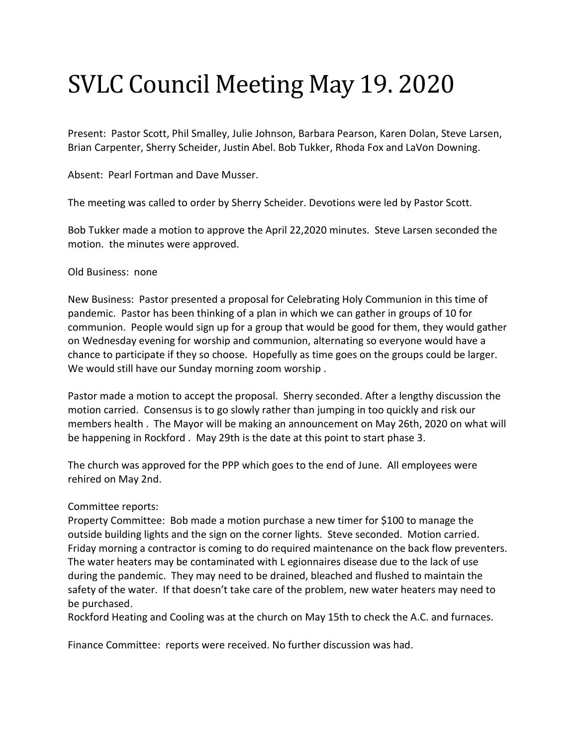## SVLC Council Meeting May 19. 2020

Present: Pastor Scott, Phil Smalley, Julie Johnson, Barbara Pearson, Karen Dolan, Steve Larsen, Brian Carpenter, Sherry Scheider, Justin Abel. Bob Tukker, Rhoda Fox and LaVon Downing.

Absent: Pearl Fortman and Dave Musser.

The meeting was called to order by Sherry Scheider. Devotions were led by Pastor Scott.

Bob Tukker made a motion to approve the April 22,2020 minutes. Steve Larsen seconded the motion. the minutes were approved.

## Old Business: none

New Business: Pastor presented a proposal for Celebrating Holy Communion in this time of pandemic. Pastor has been thinking of a plan in which we can gather in groups of 10 for communion. People would sign up for a group that would be good for them, they would gather on Wednesday evening for worship and communion, alternating so everyone would have a chance to participate if they so choose. Hopefully as time goes on the groups could be larger. We would still have our Sunday morning zoom worship .

Pastor made a motion to accept the proposal. Sherry seconded. After a lengthy discussion the motion carried. Consensus is to go slowly rather than jumping in too quickly and risk our members health . The Mayor will be making an announcement on May 26th, 2020 on what will be happening in Rockford . May 29th is the date at this point to start phase 3.

The church was approved for the PPP which goes to the end of June. All employees were rehired on May 2nd.

## Committee reports:

Property Committee: Bob made a motion purchase a new timer for \$100 to manage the outside building lights and the sign on the corner lights. Steve seconded. Motion carried. Friday morning a contractor is coming to do required maintenance on the back flow preventers. The water heaters may be contaminated with L egionnaires disease due to the lack of use during the pandemic. They may need to be drained, bleached and flushed to maintain the safety of the water. If that doesn't take care of the problem, new water heaters may need to be purchased.

Rockford Heating and Cooling was at the church on May 15th to check the A.C. and furnaces.

Finance Committee: reports were received. No further discussion was had.